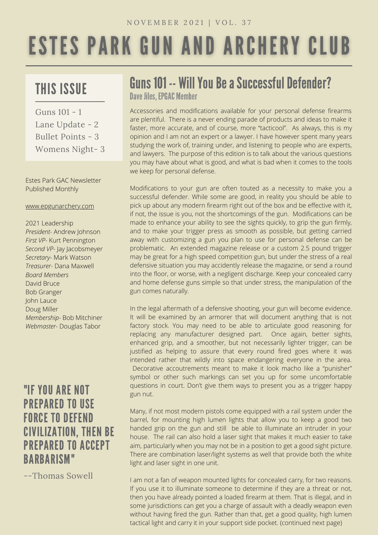# **ESTES PARK GUN AND ARCHERY CLUB**

## THIS ISSUE

Guns 101 - 1 Lane Update - 2 Bullet Points - 3 Womens Night- 3

Estes Park GAC Newsletter Published Monthly

#### [www.epgunarchery.com](http://www.epgunarchery.com/)

2021 Leadership *President-* Andrew Johnson *First VP-* Kurt Pennington *Second VP-* Jay Jacobsmeyer *Secretary-* Mark Watson *Treasurer-* Dana Maxwell *Board Members* David Bruce Bob Granger John Lauce Doug Miller *Membership-* Bob Mitchiner *Webmaster-* Douglas Tabor

### "IF YOU ARE NOT PREPARED TO USE FORCE TO DEFEND CIVILIZATION, THEN BE PREPARED TO ACCEPT BARBARISM"

--Thomas Sowell

# Guns 101 -- Will You Be a Successful Defender?

Dave Jiles, EPGAC Member

Accessories and modifications available for your personal defense firearms are plentiful. There is a never ending parade of products and ideas to make it faster, more accurate, and of course, more "tacticool". As always, this is my opinion and I am not an expert or a lawyer. I have however spent many years studying the work of, training under, and listening to people who are experts, and lawyers. The purpose of this edition is to talk about the various questions you may have about what is good, and what is bad when it comes to the tools we keep for personal defense.

Modifications to your gun are often touted as a necessity to make you a successful defender. While some are good, in reality you should be able to pick up about any modern firearm right out of the box and be effective with it, if not, the issue is you, not the shortcomings of the gun. Modifications can be made to enhance your ability to see the sights quickly, to grip the gun firmly, and to make your trigger press as smooth as possible, but getting carried away with customizing a gun you plan to use for personal defense can be problematic. An extended magazine release or a custom 2.5 pound trigger may be great for a high speed competition gun, but under the stress of a real defensive situation you may accidently release the magazine, or send a round into the floor, or worse, with a negligent discharge. Keep your concealed carry and home defense guns simple so that under stress, the manipulation of the gun comes naturally.

In the legal aftermath of a defensive shooting, your gun will become evidence. It will be examined by an armorer that will document anything that is not factory stock. You may need to be able to articulate good reasoning for replacing any manufacturer designed part. Once again, better sights, enhanced grip, and a smoother, but not necessarily lighter trigger, can be justified as helping to assure that every round fired goes where it was intended rather that wildly into space endangering everyone in the area. Decorative accoutrements meant to make it look macho like a "punisher" symbol or other such markings can set you up for some uncomfortable questions in court. Don't give them ways to present you as a trigger happy gun nut.

Many, if not most modern pistols come equipped with a rail system under the barrel, for mounting high lumen lights that allow you to keep a good two handed grip on the gun and still be able to illuminate an intruder in your house. The rail can also hold a laser sight that makes it much easier to take aim, particularly when you may not be in a position to get a good sight picture. There are combination laser/light systems as well that provide both the white light and laser sight in one unit.

I am not a fan of weapon mounted lights for concealed carry, for two reasons. If you use it to illuminate someone to determine if they are a threat or not, then you have already pointed a loaded firearm at them. That is illegal, and in some jurisdictions can get you a charge of assault with a deadly weapon even without having fired the gun. Rather than that, get a good quality, high lumen tactical light and carry it in your support side pocket. (continued next page)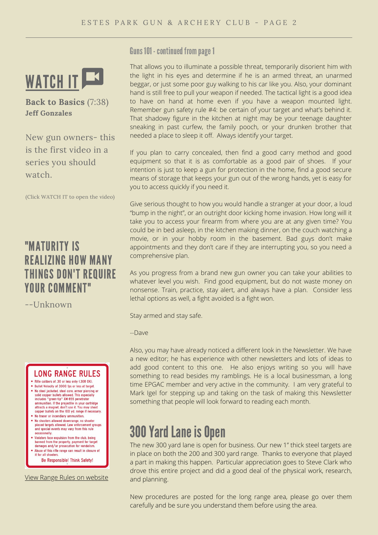

**Back to Basics** (7:38) **Jeff Gonzales**

New gun owners- this is the first video in a series you should watch.

(Click WATCH IT to open the video)

### "MATURITY IS REALIZING HOW MANY THINGS DON'T REQUIRE YOUR COMMENT"

--Unknown

#### **LONG RANGE RULES**

- Rifle calibers of .30 or less only (.308 OK).
- Bullet Velocity of 3000 fps or less at target. but the velocity of 3000 ups of the starting or<br>No steel jacketed, steel core, armor piercing or<br>solid copper bullets allowed. This especially<br>includes "green-tip" XM-855 penetrator<br>ammunition. If the projectile in your ca
- No tracer or incendiary ammunition. The shooters allowed downrange, no shooter<br>placed targets allowed. Law enforcement groups<br>and special events may vary from this rule occasionally
- Violators face expulsion from the club, being banned from the property, payment for target<br>damages and/or prosecution for vandalism.
- Abuse of this rifle range can result in closure of it for all shooters Be Responsible! Think Safety!

View Range Rules on [website](http://epgunarchery.com/Rules.html)

Guns 101 - continued from page 1

That allows you to illuminate a possible threat, temporarily disorient him with the light in his eyes and determine if he is an armed threat, an unarmed beggar, or just some poor guy walking to his car like you. Also, your dominant hand is still free to pull your weapon if needed. The tactical light is a good idea to have on hand at home even if you have a weapon mounted light. Remember gun safety rule #4: be certain of your target and what's behind it. That shadowy figure in the kitchen at night may be your teenage daughter sneaking in past curfew, the family pooch, or your drunken brother that needed a place to sleep it off. Always identify your target.

If you plan to carry concealed, then find a good carry method and good equipment so that it is as comfortable as a good pair of shoes. If your intention is just to keep a gun for protection in the home, find a good secure means of storage that keeps your gun out of the wrong hands, yet is easy for you to access quickly if you need it.

Give serious thought to how you would handle a stranger at your door, a loud "bump in the night", or an outright door kicking home invasion. How long will it take you to access your firearm from where you are at any given time? You could be in bed asleep, in the kitchen making dinner, on the couch watching a movie, or in your hobby room in the basement. Bad guys don't make appointments and they don't care if they are interrupting you, so you need a comprehensive plan.

As you progress from a brand new gun owner you can take your abilities to whatever level you wish. Find good equipment, but do not waste money on nonsense. Train, practice, stay alert, and always have a plan. Consider less lethal options as well, a fight avoided is a fight won.

Stay armed and stay safe.

--Dave

Also, you may have already noticed a different look in the Newsletter. We have a new editor; he has experience with other newsletters and lots of ideas to add good content to this one. He also enjoys writing so you will have something to read besides my ramblings. He is a local businessman, a long time EPGAC member and very active in the community. I am very grateful to Mark Igel for stepping up and taking on the task of making this Newsletter something that people will look forward to reading each month.

### 300 Yard Lane is Open

The new 300 yard lane is open for business. Our new 1" thick steel targets are in place on both the 200 and 300 yard range. Thanks to everyone that played a part in making this happen. Particular appreciation goes to Steve Clark who drove this entire project and did a good deal of the physical work, research, and planning.

New procedures are posted for the long range area, please go over them carefully and be sure you understand them before using the area.